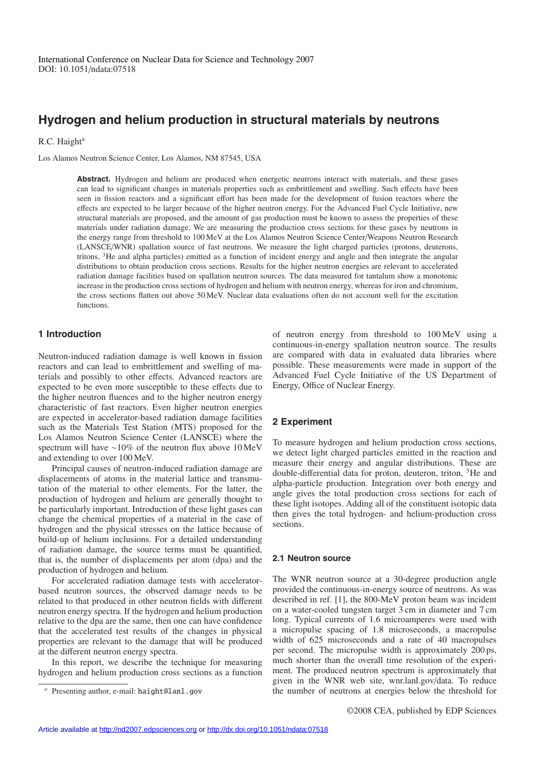# **Hydrogen and helium production in structural materials by neutrons**

#### R.C. Haight<sup>a</sup>

Los Alamos Neutron Science Center, Los Alamos, NM 87545, USA

**Abstract.** Hydrogen and helium are produced when energetic neutrons interact with materials, and these gases can lead to significant changes in materials properties such as embrittlement and swelling. Such effects have been seen in fission reactors and a significant effort has been made for the development of fusion reactors where the effects are expected to be larger because of the higher neutron energy. For the Advanced Fuel Cycle Initiative, new structural materials are proposed, and the amount of gas production must be known to assess the properties of these materials under radiation damage. We are measuring the production cross sections for these gases by neutrons in the energy range from threshold to 100 MeV at the Los Alamos Neutron Science Center/Weapons Neutron Research (LANSCE/WNR) spallation source of fast neutrons. We measure the light charged particles (protons, deuterons, tritons, 3He and alpha particles) emitted as a function of incident energy and angle and then integrate the angular distributions to obtain production cross sections. Results for the higher neutron energies are relevant to accelerated radiation damage facilities based on spallation neutron sources. The data measured for tantalum show a monotonic increase in the production cross sections of hydrogen and helium with neutron energy, whereas for iron and chromium, the cross sections flatten out above 50 MeV. Nuclear data evaluations often do not account well for the excitation functions.

# **1 Introduction**

Neutron-induced radiation damage is well known in fission reactors and can lead to embrittlement and swelling of materials and possibly to other effects. Advanced reactors are expected to be even more susceptible to these effects due to the higher neutron fluences and to the higher neutron energy characteristic of fast reactors. Even higher neutron energies are expected in accelerator-based radiation damage facilities such as the Materials Test Station (MTS) proposed for the Los Alamos Neutron Science Center (LANSCE) where the spectrum will have ∼10% of the neutron flux above 10 MeV and extending to over 100 MeV.

Principal causes of neutron-induced radiation damage are displacements of atoms in the material lattice and transmutation of the material to other elements. For the latter, the production of hydrogen and helium are generally thought to be particularly important. Introduction of these light gases can change the chemical properties of a material in the case of hydrogen and the physical stresses on the lattice because of build-up of helium inclusions. For a detailed understanding of radiation damage, the source terms must be quantified, that is, the number of displacements per atom (dpa) and the production of hydrogen and helium.

For accelerated radiation damage tests with acceleratorbased neutron sources, the observed damage needs to be related to that produced in other neutron fields with different neutron energy spectra. If the hydrogen and helium production relative to the dpa are the same, then one can have confidence that the accelerated test results of the changes in physical properties are relevant to the damage that will be produced at the different neutron energy spectra.

In this report, we describe the technique for measuring hydrogen and helium production cross sections as a function of neutron energy from threshold to 100 MeV using a continuous-in-energy spallation neutron source. The results are compared with data in evaluated data libraries where possible. These measurements were made in support of the Advanced Fuel Cycle Initiative of the US Department of Energy, Office of Nuclear Energy.

# **2 Experiment**

To measure hydrogen and helium production cross sections, we detect light charged particles emitted in the reaction and measure their energy and angular distributions. These are double-differential data for proton, deuteron, triton, <sup>3</sup>He and alpha-particle production. Integration over both energy and angle gives the total production cross sections for each of these light isotopes. Adding all of the constituent isotopic data then gives the total hydrogen- and helium-production cross sections.

#### **2.1 Neutron source**

The WNR neutron source at a 30-degree production angle provided the continuous-in-energy source of neutrons. As was described in ref. [1], the 800-MeV proton beam was incident on a water-cooled tungsten target 3 cm in diameter and 7 cm long. Typical currents of 1.6 microamperes were used with a micropulse spacing of 1.8 microseconds, a macropulse width of 625 microseconds and a rate of 40 macropulses per second. The micropulse width is approximately 200 ps, much shorter than the overall time resolution of the experiment. The produced neutron spectrum is approximately that given in the WNR web site, wnr.lanl.gov/data. To reduce the number of neutrons at energies below the threshold for

Presenting author, e-mail: haight@lanl.gov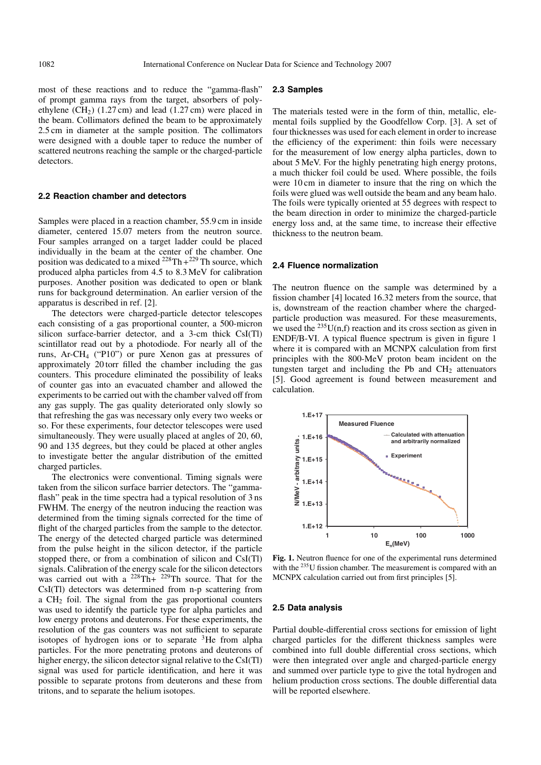most of these reactions and to reduce the "gamma-flash" of prompt gamma rays from the target, absorbers of polyethylene  $(CH_2)$  (1.27 cm) and lead (1.27 cm) were placed in the beam. Collimators defined the beam to be approximately 2.5 cm in diameter at the sample position. The collimators were designed with a double taper to reduce the number of scattered neutrons reaching the sample or the charged-particle detectors.

### **2.2 Reaction chamber and detectors**

Samples were placed in a reaction chamber, 55.9 cm in inside diameter, centered 15.07 meters from the neutron source. Four samples arranged on a target ladder could be placed individually in the beam at the center of the chamber. One position was dedicated to a mixed  $^{228}Th+^{229}Th$  source, which produced alpha particles from 4.5 to 8.3 MeV for calibration purposes. Another position was dedicated to open or blank runs for background determination. An earlier version of the apparatus is described in ref. [2].

The detectors were charged-particle detector telescopes each consisting of a gas proportional counter, a 500-micron silicon surface-barrier detector, and a 3-cm thick CsI(Tl) scintillator read out by a photodiode. For nearly all of the runs, Ar-CH4 ("P10") or pure Xenon gas at pressures of approximately 20 torr filled the chamber including the gas counters. This procedure eliminated the possibility of leaks of counter gas into an evacuated chamber and allowed the experiments to be carried out with the chamber valved off from any gas supply. The gas quality deteriorated only slowly so that refreshing the gas was necessary only every two weeks or so. For these experiments, four detector telescopes were used simultaneously. They were usually placed at angles of 20, 60, 90 and 135 degrees, but they could be placed at other angles to investigate better the angular distribution of the emitted charged particles.

The electronics were conventional. Timing signals were taken from the silicon surface barrier detectors. The "gammaflash" peak in the time spectra had a typical resolution of 3 ns FWHM. The energy of the neutron inducing the reaction was determined from the timing signals corrected for the time of flight of the charged particles from the sample to the detector. The energy of the detected charged particle was determined from the pulse height in the silicon detector, if the particle stopped there, or from a combination of silicon and CsI(Tl) signals. Calibration of the energy scale for the silicon detectors was carried out with a  $228 \text{ Th}+ 229 \text{ Th}$  source. That for the CsI(Tl) detectors was determined from n-p scattering from a CH2 foil. The signal from the gas proportional counters was used to identify the particle type for alpha particles and low energy protons and deuterons. For these experiments, the resolution of the gas counters was not sufficient to separate isotopes of hydrogen ions or to separate  ${}^{3}$ He from alpha particles. For the more penetrating protons and deuterons of higher energy, the silicon detector signal relative to the CsI(Tl) signal was used for particle identification, and here it was possible to separate protons from deuterons and these from tritons, and to separate the helium isotopes.

#### **2.3 Samples**

The materials tested were in the form of thin, metallic, elemental foils supplied by the Goodfellow Corp. [3]. A set of four thicknesses was used for each element in order to increase the efficiency of the experiment: thin foils were necessary for the measurement of low energy alpha particles, down to about 5 MeV. For the highly penetrating high energy protons, a much thicker foil could be used. Where possible, the foils were 10 cm in diameter to insure that the ring on which the foils were glued was well outside the beam and any beam halo. The foils were typically oriented at 55 degrees with respect to the beam direction in order to minimize the charged-particle energy loss and, at the same time, to increase their effective thickness to the neutron beam.

#### **2.4 Fluence normalization**

The neutron fluence on the sample was determined by a fission chamber [4] located 16.32 meters from the source, that is, downstream of the reaction chamber where the chargedparticle production was measured. For these measurements, we used the  $^{235}$ U(n,f) reaction and its cross section as given in ENDF/B-VI. A typical fluence spectrum is given in figure 1 where it is compared with an MCNPX calculation from first principles with the 800-MeV proton beam incident on the tungsten target and including the Pb and  $CH<sub>2</sub>$  attenuators [5]. Good agreement is found between measurement and calculation.



**Fig. 1.** Neutron fluence for one of the experimental runs determined with the <sup>235</sup>U fission chamber. The measurement is compared with an MCNPX calculation carried out from first principles [5].

#### **2.5 Data analysis**

Partial double-differential cross sections for emission of light charged particles for the different thickness samples were combined into full double differential cross sections, which were then integrated over angle and charged-particle energy and summed over particle type to give the total hydrogen and helium production cross sections. The double differential data will be reported elsewhere.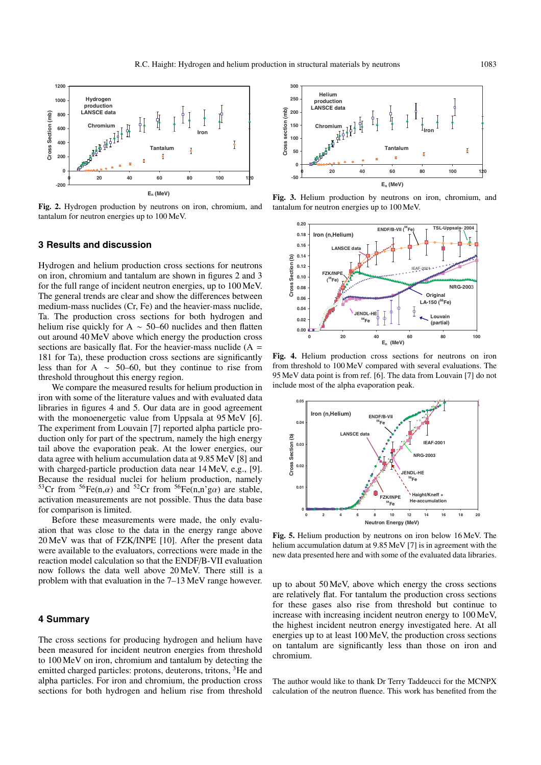

**Fig. 2.** Hydrogen production by neutrons on iron, chromium, and tantalum for neutron energies up to 100 MeV.

## **3 Results and discussion**

Hydrogen and helium production cross sections for neutrons on iron, chromium and tantalum are shown in figures 2 and 3 for the full range of incident neutron energies, up to 100 MeV. The general trends are clear and show the differences between medium-mass nuclides (Cr, Fe) and the heavier-mass nuclide, Ta. The production cross sections for both hydrogen and helium rise quickly for A ~ 50–60 nuclides and then flatten out around 40 MeV above which energy the production cross sections are basically flat. For the heavier-mass nuclide  $(A =$ 181 for Ta), these production cross sections are significantly less than for A  $~\sim~$  50–60, but they continue to rise from threshold throughout this energy region.

We compare the measured results for helium production in iron with some of the literature values and with evaluated data libraries in figures 4 and 5. Our data are in good agreement with the monoenergetic value from Uppsala at 95 MeV [6]. The experiment from Louvain [7] reported alpha particle production only for part of the spectrum, namely the high energy tail above the evaporation peak. At the lower energies, our data agree with helium accumulation data at 9.85 MeV [8] and with charged-particle production data near 14 MeV, e.g., [9]. Because the residual nuclei for helium production, namely <sup>53</sup>Cr from <sup>56</sup>Fe(n, $\alpha$ ) and <sup>52</sup>Cr from <sup>56</sup>Fe(n,n'g $\alpha$ ) are stable, activation measurements are not possible. Thus the data base for comparison is limited.

Before these measurements were made, the only evaluation that was close to the data in the energy range above 20 MeV was that of FZK/INPE [10]. After the present data were available to the evaluators, corrections were made in the reaction model calculation so that the ENDF/B-VII evaluation now follows the data well above 20 MeV. There still is a problem with that evaluation in the 7–13 MeV range however.

## **4 Summary**

The cross sections for producing hydrogen and helium have been measured for incident neutron energies from threshold to 100 MeV on iron, chromium and tantalum by detecting the emitted charged particles: protons, deuterons, tritons, <sup>3</sup>He and alpha particles. For iron and chromium, the production cross sections for both hydrogen and helium rise from threshold



**Fig. 3.** Helium production by neutrons on iron, chromium, and tantalum for neutron energies up to 100 MeV.



**Fig. 4.** Helium production cross sections for neutrons on iron from threshold to 100 MeV compared with several evaluations. The 95 MeV data point is from ref. [6]. The data from Louvain [7] do not include most of the alpha evaporation peak.



**Fig. 5.** Helium production by neutrons on iron below 16 MeV. The helium accumulation datum at 9.85 MeV [7] is in agreement with the new data presented here and with some of the evaluated data libraries.

up to about 50 MeV, above which energy the cross sections are relatively flat. For tantalum the production cross sections for these gases also rise from threshold but continue to increase with increasing incident neutron energy to 100 MeV, the highest incident neutron energy investigated here. At all energies up to at least 100 MeV, the production cross sections on tantalum are significantly less than those on iron and chromium.

The author would like to thank Dr Terry Taddeucci for the MCNPX calculation of the neutron fluence. This work has benefited from the